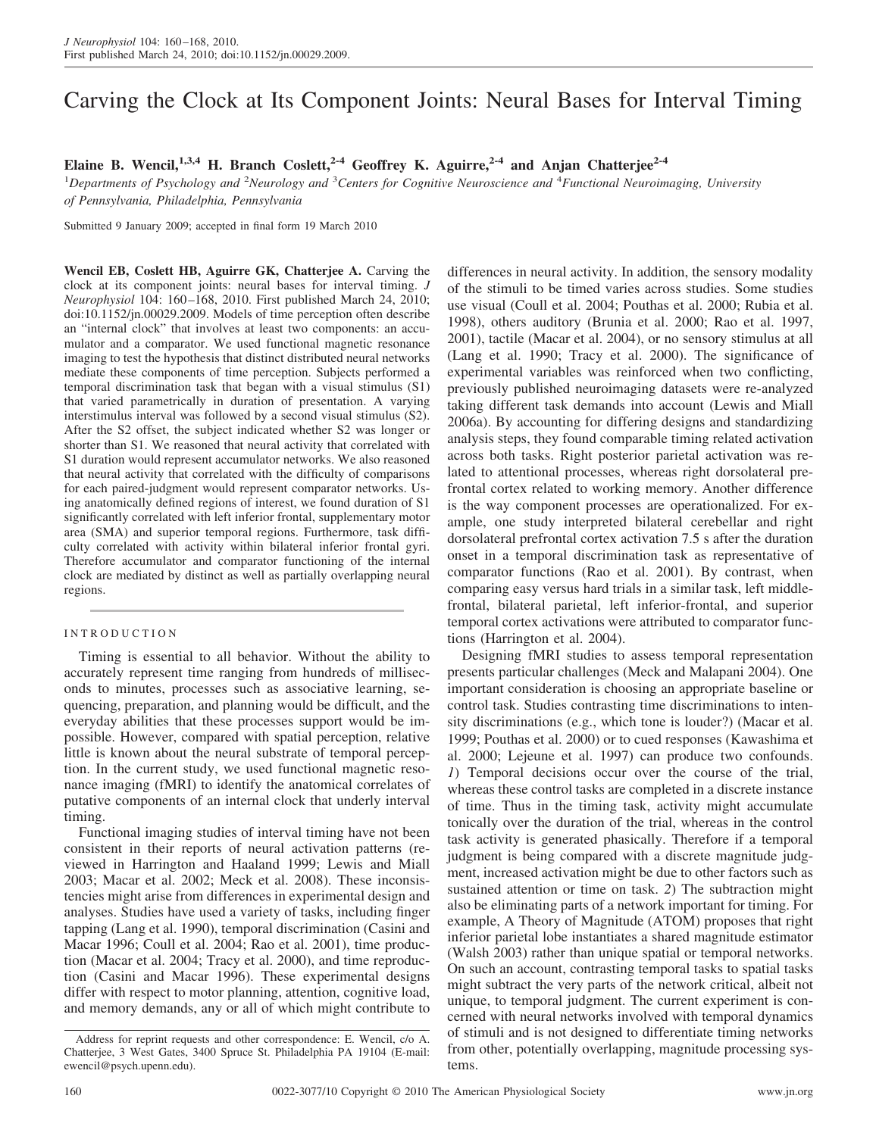# Carving the Clock at Its Component Joints: Neural Bases for Interval Timing

**Elaine B. Wencil,1,3,4 H. Branch Coslett,2-4 Geoffrey K. Aguirre,2-4 and Anjan Chatterjee2-4**

<sup>1</sup>Departments of Psychology and <sup>2</sup>Neurology and <sup>3</sup>Centers for Cognitive Neuroscience and <sup>4</sup>Functional Neuroimaging, University *of Pennsylvania, Philadelphia, Pennsylvania*

Submitted 9 January 2009; accepted in final form 19 March 2010

**Wencil EB, Coslett HB, Aguirre GK, Chatterjee A.** Carving the clock at its component joints: neural bases for interval timing. *J Neurophysiol* 104: 160 –168, 2010. First published March 24, 2010; doi:10.1152/jn.00029.2009. Models of time perception often describe an "internal clock" that involves at least two components: an accumulator and a comparator. We used functional magnetic resonance imaging to test the hypothesis that distinct distributed neural networks mediate these components of time perception. Subjects performed a temporal discrimination task that began with a visual stimulus (S1) that varied parametrically in duration of presentation. A varying interstimulus interval was followed by a second visual stimulus (S2). After the S2 offset, the subject indicated whether S2 was longer or shorter than S1. We reasoned that neural activity that correlated with S1 duration would represent accumulator networks. We also reasoned that neural activity that correlated with the difficulty of comparisons for each paired-judgment would represent comparator networks. Using anatomically defined regions of interest, we found duration of S1 significantly correlated with left inferior frontal, supplementary motor area (SMA) and superior temporal regions. Furthermore, task difficulty correlated with activity within bilateral inferior frontal gyri. Therefore accumulator and comparator functioning of the internal clock are mediated by distinct as well as partially overlapping neural regions.

# INTRODUCTION

Timing is essential to all behavior. Without the ability to accurately represent time ranging from hundreds of milliseconds to minutes, processes such as associative learning, sequencing, preparation, and planning would be difficult, and the everyday abilities that these processes support would be impossible. However, compared with spatial perception, relative little is known about the neural substrate of temporal perception. In the current study, we used functional magnetic resonance imaging (fMRI) to identify the anatomical correlates of putative components of an internal clock that underly interval timing.

Functional imaging studies of interval timing have not been consistent in their reports of neural activation patterns (reviewed in Harrington and Haaland 1999; Lewis and Miall 2003; Macar et al. 2002; Meck et al. 2008). These inconsistencies might arise from differences in experimental design and analyses. Studies have used a variety of tasks, including finger tapping (Lang et al. 1990), temporal discrimination (Casini and Macar 1996; Coull et al. 2004; Rao et al. 2001), time production (Macar et al. 2004; Tracy et al. 2000), and time reproduction (Casini and Macar 1996). These experimental designs differ with respect to motor planning, attention, cognitive load, and memory demands, any or all of which might contribute to differences in neural activity. In addition, the sensory modality of the stimuli to be timed varies across studies. Some studies use visual (Coull et al. 2004; Pouthas et al. 2000; Rubia et al. 1998), others auditory (Brunia et al. 2000; Rao et al. 1997, 2001), tactile (Macar et al. 2004), or no sensory stimulus at all (Lang et al. 1990; Tracy et al. 2000). The significance of experimental variables was reinforced when two conflicting, previously published neuroimaging datasets were re-analyzed taking different task demands into account (Lewis and Miall 2006a). By accounting for differing designs and standardizing analysis steps, they found comparable timing related activation across both tasks. Right posterior parietal activation was related to attentional processes, whereas right dorsolateral prefrontal cortex related to working memory. Another difference is the way component processes are operationalized. For example, one study interpreted bilateral cerebellar and right dorsolateral prefrontal cortex activation 7.5 s after the duration onset in a temporal discrimination task as representative of comparator functions (Rao et al. 2001). By contrast, when comparing easy versus hard trials in a similar task, left middlefrontal, bilateral parietal, left inferior-frontal, and superior temporal cortex activations were attributed to comparator functions (Harrington et al. 2004).

Designing fMRI studies to assess temporal representation presents particular challenges (Meck and Malapani 2004). One important consideration is choosing an appropriate baseline or control task. Studies contrasting time discriminations to intensity discriminations (e.g., which tone is louder?) (Macar et al. 1999; Pouthas et al. 2000) or to cued responses (Kawashima et al. 2000; Lejeune et al. 1997) can produce two confounds. *1*) Temporal decisions occur over the course of the trial, whereas these control tasks are completed in a discrete instance of time. Thus in the timing task, activity might accumulate tonically over the duration of the trial, whereas in the control task activity is generated phasically. Therefore if a temporal judgment is being compared with a discrete magnitude judgment, increased activation might be due to other factors such as sustained attention or time on task. *2*) The subtraction might also be eliminating parts of a network important for timing. For example, A Theory of Magnitude (ATOM) proposes that right inferior parietal lobe instantiates a shared magnitude estimator (Walsh 2003) rather than unique spatial or temporal networks. On such an account, contrasting temporal tasks to spatial tasks might subtract the very parts of the network critical, albeit not unique, to temporal judgment. The current experiment is concerned with neural networks involved with temporal dynamics of stimuli and is not designed to differentiate timing networks from other, potentially overlapping, magnitude processing systems.

Address for reprint requests and other correspondence: E. Wencil, c/o A. Chatterjee, 3 West Gates, 3400 Spruce St. Philadelphia PA 19104 (E-mail: ewencil@psych.upenn.edu).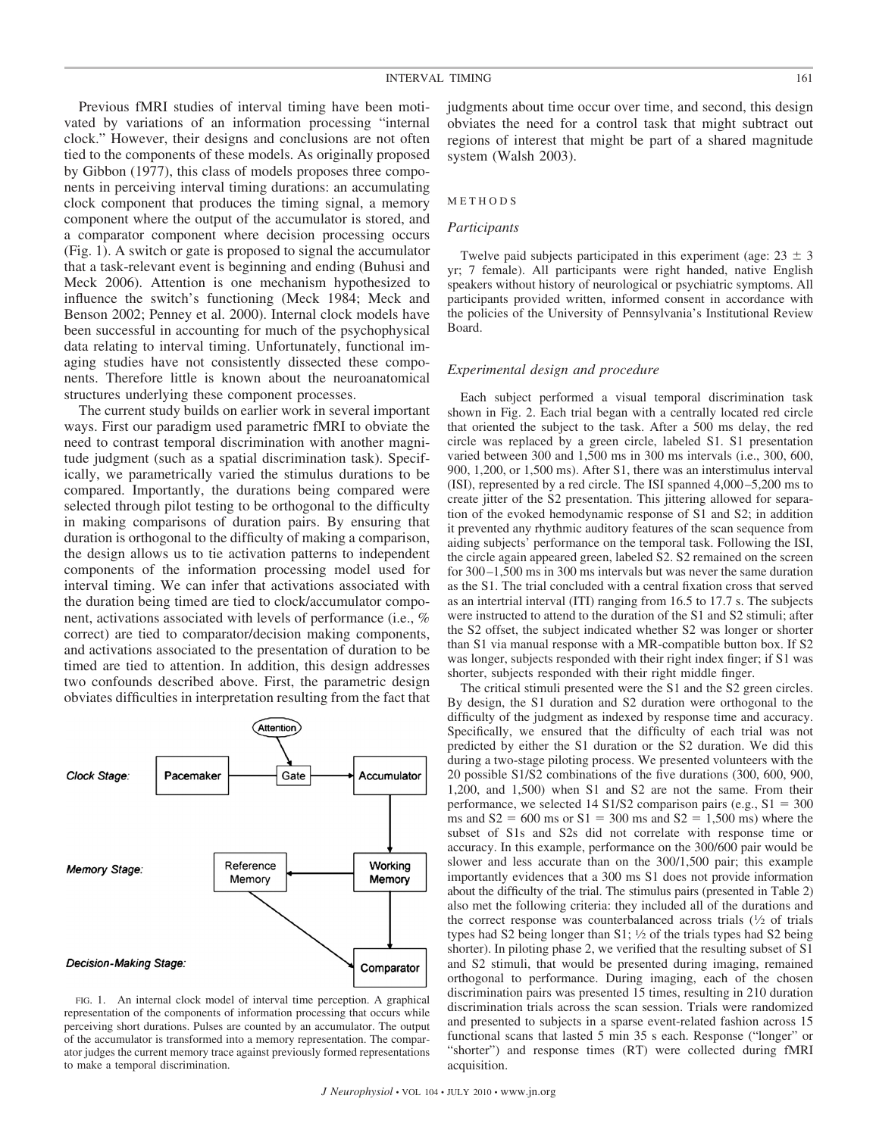Previous fMRI studies of interval timing have been motivated by variations of an information processing "internal clock." However, their designs and conclusions are not often tied to the components of these models. As originally proposed by Gibbon (1977), this class of models proposes three components in perceiving interval timing durations: an accumulating clock component that produces the timing signal, a memory component where the output of the accumulator is stored, and a comparator component where decision processing occurs (Fig. 1). A switch or gate is proposed to signal the accumulator that a task-relevant event is beginning and ending (Buhusi and Meck 2006). Attention is one mechanism hypothesized to influence the switch's functioning (Meck 1984; Meck and Benson 2002; Penney et al. 2000). Internal clock models have been successful in accounting for much of the psychophysical data relating to interval timing. Unfortunately, functional imaging studies have not consistently dissected these components. Therefore little is known about the neuroanatomical structures underlying these component processes.

The current study builds on earlier work in several important ways. First our paradigm used parametric fMRI to obviate the need to contrast temporal discrimination with another magnitude judgment (such as a spatial discrimination task). Specifically, we parametrically varied the stimulus durations to be compared. Importantly, the durations being compared were selected through pilot testing to be orthogonal to the difficulty in making comparisons of duration pairs. By ensuring that duration is orthogonal to the difficulty of making a comparison, the design allows us to tie activation patterns to independent components of the information processing model used for interval timing. We can infer that activations associated with the duration being timed are tied to clock/accumulator component, activations associated with levels of performance (i.e., % correct) are tied to comparator/decision making components, and activations associated to the presentation of duration to be timed are tied to attention. In addition, this design addresses two confounds described above. First, the parametric design obviates difficulties in interpretation resulting from the fact that



FIG. 1. An internal clock model of interval time perception. A graphical representation of the components of information processing that occurs while perceiving short durations. Pulses are counted by an accumulator. The output of the accumulator is transformed into a memory representation. The comparator judges the current memory trace against previously formed representations to make a temporal discrimination.

judgments about time occur over time, and second, this design obviates the need for a control task that might subtract out regions of interest that might be part of a shared magnitude system (Walsh 2003).

#### METHODS

#### *Participants*

Twelve paid subjects participated in this experiment (age:  $23 \pm 3$ ) yr; 7 female). All participants were right handed, native English speakers without history of neurological or psychiatric symptoms. All participants provided written, informed consent in accordance with the policies of the University of Pennsylvania's Institutional Review Board.

## *Experimental design and procedure*

Each subject performed a visual temporal discrimination task shown in Fig. 2. Each trial began with a centrally located red circle that oriented the subject to the task. After a 500 ms delay, the red circle was replaced by a green circle, labeled S1. S1 presentation varied between 300 and 1,500 ms in 300 ms intervals (i.e., 300, 600, 900, 1,200, or 1,500 ms). After S1, there was an interstimulus interval (ISI), represented by a red circle. The ISI spanned 4,000 –5,200 ms to create jitter of the S2 presentation. This jittering allowed for separation of the evoked hemodynamic response of S1 and S2; in addition it prevented any rhythmic auditory features of the scan sequence from aiding subjects' performance on the temporal task. Following the ISI, the circle again appeared green, labeled S2. S2 remained on the screen for 300 –1,500 ms in 300 ms intervals but was never the same duration as the S1. The trial concluded with a central fixation cross that served as an intertrial interval (ITI) ranging from 16.5 to 17.7 s. The subjects were instructed to attend to the duration of the S1 and S2 stimuli; after the S2 offset, the subject indicated whether S2 was longer or shorter than S1 via manual response with a MR-compatible button box. If S2 was longer, subjects responded with their right index finger; if S1 was shorter, subjects responded with their right middle finger.

The critical stimuli presented were the S1 and the S2 green circles. By design, the S1 duration and S2 duration were orthogonal to the difficulty of the judgment as indexed by response time and accuracy. Specifically, we ensured that the difficulty of each trial was not predicted by either the S1 duration or the S2 duration. We did this during a two-stage piloting process. We presented volunteers with the 20 possible S1/S2 combinations of the five durations (300, 600, 900, 1,200, and 1,500) when S1 and S2 are not the same. From their performance, we selected  $14 \text{ S1/S2}$  comparison pairs (e.g.,  $S1 = 300$ ms and  $S2 = 600$  ms or  $S1 = 300$  ms and  $S2 = 1,500$  ms) where the subset of S1s and S2s did not correlate with response time or accuracy. In this example, performance on the 300/600 pair would be slower and less accurate than on the 300/1,500 pair; this example importantly evidences that a 300 ms S1 does not provide information about the difficulty of the trial. The stimulus pairs (presented in Table 2) also met the following criteria: they included all of the durations and the correct response was counterbalanced across trials  $(1/2)$  of trials types had S2 being longer than S1;  $\frac{1}{2}$  of the trials types had S2 being shorter). In piloting phase 2, we verified that the resulting subset of S1 and S2 stimuli, that would be presented during imaging, remained orthogonal to performance. During imaging, each of the chosen discrimination pairs was presented 15 times, resulting in 210 duration discrimination trials across the scan session. Trials were randomized and presented to subjects in a sparse event-related fashion across 15 functional scans that lasted 5 min 35 s each. Response ("longer" or "shorter") and response times (RT) were collected during fMRI acquisition.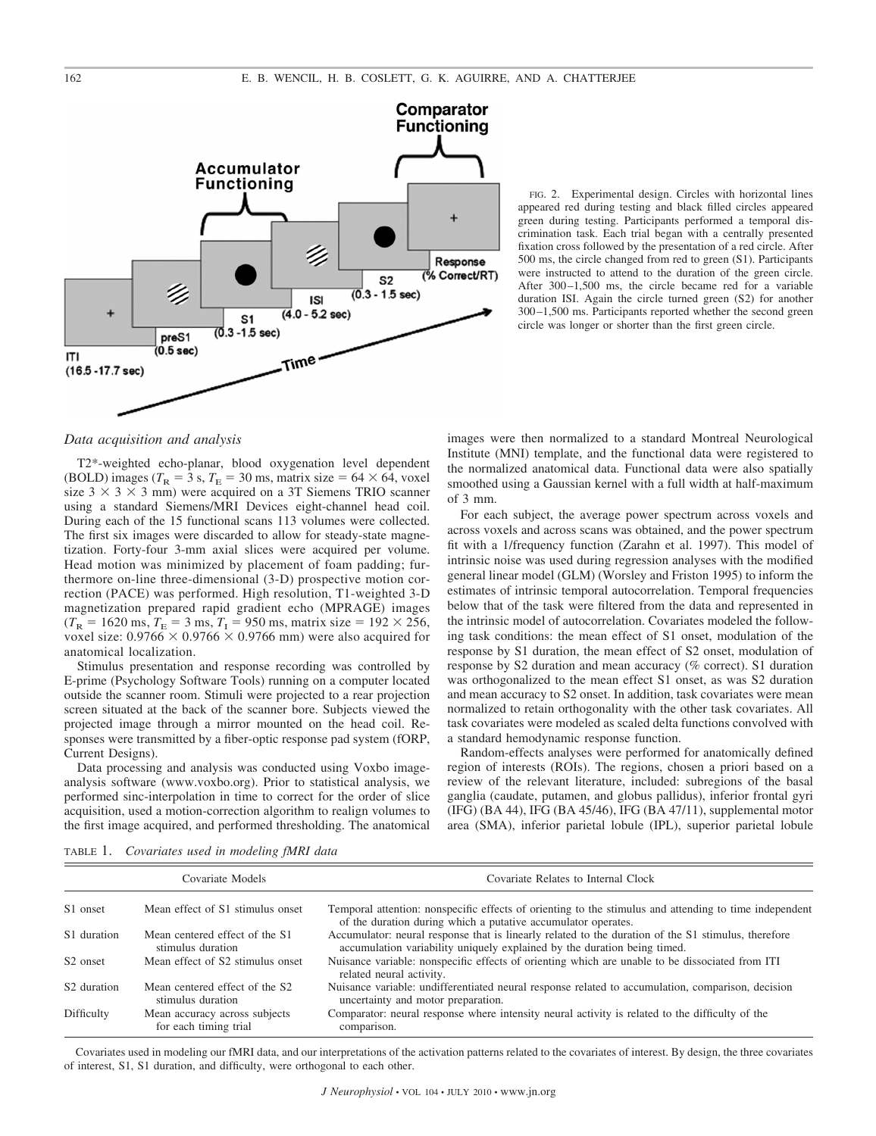

FIG. 2. Experimental design. Circles with horizontal lines appeared red during testing and black filled circles appeared green during testing. Participants performed a temporal discrimination task. Each trial began with a centrally presented fixation cross followed by the presentation of a red circle. After 500 ms, the circle changed from red to green (S1). Participants were instructed to attend to the duration of the green circle. After  $300-1,500$  ms, the circle became red for a variable duration ISI. Again the circle turned green (S2) for another 300 –1,500 ms. Participants reported whether the second green circle was longer or shorter than the first green circle.

## *Data acquisition and analysis*

T2\*-weighted echo-planar, blood oxygenation level dependent (BOLD) images ( $T_R = 3$  s,  $T_E = 30$  ms, matrix size = 64  $\times$  64, voxel size  $3 \times 3 \times 3$  mm) were acquired on a 3T Siemens TRIO scanner using a standard Siemens/MRI Devices eight-channel head coil. During each of the 15 functional scans 113 volumes were collected. The first six images were discarded to allow for steady-state magnetization. Forty-four 3-mm axial slices were acquired per volume. Head motion was minimized by placement of foam padding; furthermore on-line three-dimensional (3-D) prospective motion correction (PACE) was performed. High resolution, T1-weighted 3-D magnetization prepared rapid gradient echo (MPRAGE) images  $(T_R = 1620 \text{ ms}, T_E = 3 \text{ ms}, T_I = 950 \text{ ms}, \text{matrix size} = 192 \times 256,$ voxel size:  $0.9766 \times 0.9766 \times 0.9766$  mm) were also acquired for anatomical localization.

Stimulus presentation and response recording was controlled by E-prime (Psychology Software Tools) running on a computer located outside the scanner room. Stimuli were projected to a rear projection screen situated at the back of the scanner bore. Subjects viewed the projected image through a mirror mounted on the head coil. Responses were transmitted by a fiber-optic response pad system (fORP, Current Designs).

Data processing and analysis was conducted using Voxbo imageanalysis software (www.voxbo.org). Prior to statistical analysis, we performed sinc-interpolation in time to correct for the order of slice acquisition, used a motion-correction algorithm to realign volumes to the first image acquired, and performed thresholding. The anatomical images were then normalized to a standard Montreal Neurological Institute (MNI) template, and the functional data were registered to the normalized anatomical data. Functional data were also spatially smoothed using a Gaussian kernel with a full width at half-maximum of 3 mm.

For each subject, the average power spectrum across voxels and across voxels and across scans was obtained, and the power spectrum fit with a 1/frequency function (Zarahn et al. 1997). This model of intrinsic noise was used during regression analyses with the modified general linear model (GLM) (Worsley and Friston 1995) to inform the estimates of intrinsic temporal autocorrelation. Temporal frequencies below that of the task were filtered from the data and represented in the intrinsic model of autocorrelation. Covariates modeled the following task conditions: the mean effect of S1 onset, modulation of the response by S1 duration, the mean effect of S2 onset, modulation of response by S2 duration and mean accuracy (% correct). S1 duration was orthogonalized to the mean effect S1 onset, as was S2 duration and mean accuracy to S2 onset. In addition, task covariates were mean normalized to retain orthogonality with the other task covariates. All task covariates were modeled as scaled delta functions convolved with a standard hemodynamic response function.

Random-effects analyses were performed for anatomically defined region of interests (ROIs). The regions, chosen a priori based on a review of the relevant literature, included: subregions of the basal ganglia (caudate, putamen, and globus pallidus), inferior frontal gyri (IFG) (BA 44), IFG (BA 45/46), IFG (BA 47/11), supplemental motor area (SMA), inferior parietal lobule (IPL), superior parietal lobule

|  | TABLE 1. Covariates used in modeling fMRI data |  |  |  |  |
|--|------------------------------------------------|--|--|--|--|
|--|------------------------------------------------|--|--|--|--|

| Covariate Models        |                                                        | Covariate Relates to Internal Clock                                                                                                                                             |  |  |
|-------------------------|--------------------------------------------------------|---------------------------------------------------------------------------------------------------------------------------------------------------------------------------------|--|--|
| S1 onset                | Mean effect of S1 stimulus onset                       | Temporal attention: nonspecific effects of orienting to the stimulus and attending to time independent<br>of the duration during which a putative accumulator operates.         |  |  |
| S1 duration             | Mean centered effect of the S1<br>stimulus duration    | Accumulator: neural response that is linearly related to the duration of the S1 stimulus, therefore<br>accumulation variability uniquely explained by the duration being timed. |  |  |
| S <sub>2</sub> onset    | Mean effect of S2 stimulus onset                       | Nuisance variable: nonspecific effects of orienting which are unable to be dissociated from ITI<br>related neural activity.                                                     |  |  |
| S <sub>2</sub> duration | Mean centered effect of the S2<br>stimulus duration    | Nuisance variable: undifferentiated neural response related to accumulation, comparison, decision<br>uncertainty and motor preparation.                                         |  |  |
| Difficulty              | Mean accuracy across subjects<br>for each timing trial | Comparator: neural response where intensity neural activity is related to the difficulty of the<br>comparison.                                                                  |  |  |

Covariates used in modeling our fMRI data, and our interpretations of the activation patterns related to the covariates of interest. By design, the three covariates of interest, S1, S1 duration, and difficulty, were orthogonal to each other.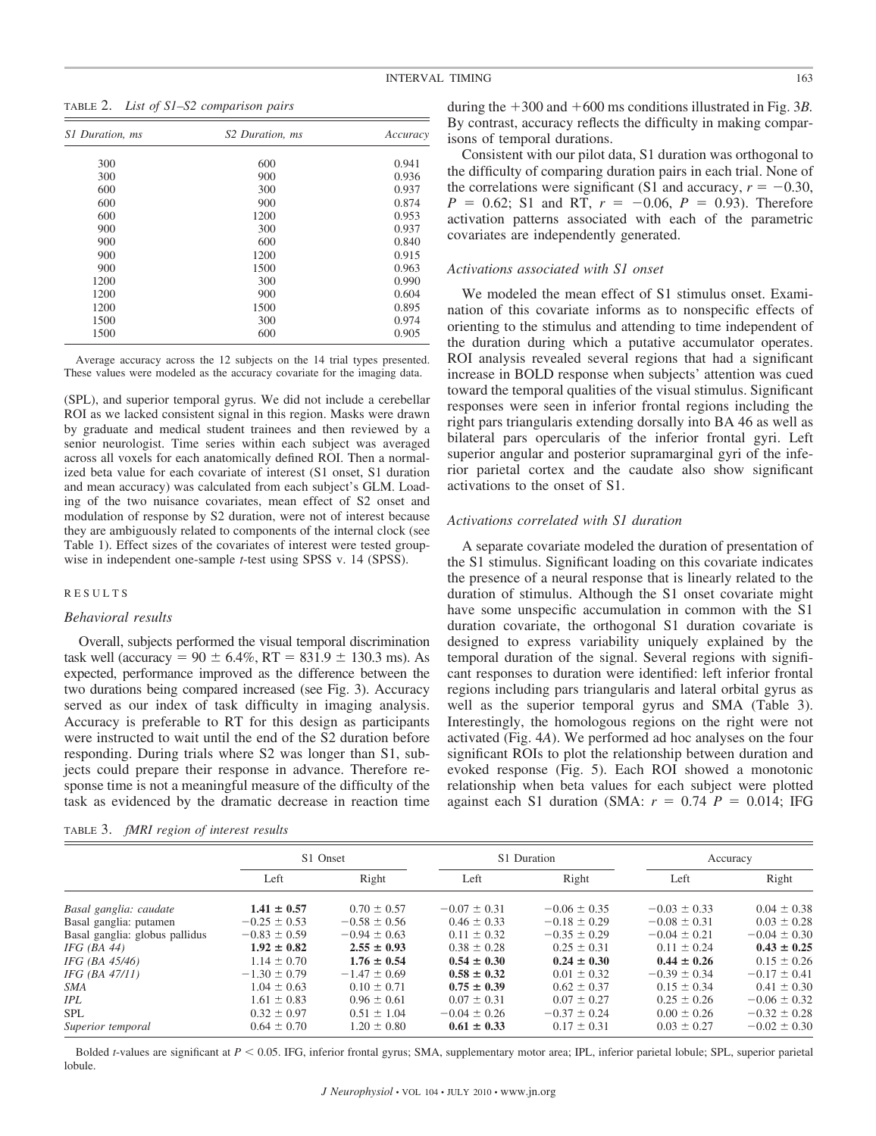TABLE 2. *List of S1–S2 comparison pairs*

| S1 Duration, ms | S <sub>2</sub> Duration, ms | Accuracy |  |
|-----------------|-----------------------------|----------|--|
| 300             | 600                         | 0.941    |  |
| 300             | 900                         | 0.936    |  |
| 600             | 300                         | 0.937    |  |
| 600             | 900                         | 0.874    |  |
| 600             | 1200                        | 0.953    |  |
| 900             | 300                         | 0.937    |  |
| 900             | 600                         | 0.840    |  |
| 900             | 1200                        | 0.915    |  |
| 900             | 1500                        | 0.963    |  |
| 1200            | 300                         | 0.990    |  |
| 1200            | 900                         | 0.604    |  |
| 1200            | 1500                        | 0.895    |  |
| 1500            | 300                         | 0.974    |  |
| 1500            | 600                         | 0.905    |  |

Average accuracy across the 12 subjects on the 14 trial types presented. These values were modeled as the accuracy covariate for the imaging data.

(SPL), and superior temporal gyrus. We did not include a cerebellar ROI as we lacked consistent signal in this region. Masks were drawn by graduate and medical student trainees and then reviewed by a senior neurologist. Time series within each subject was averaged across all voxels for each anatomically defined ROI. Then a normalized beta value for each covariate of interest (S1 onset, S1 duration and mean accuracy) was calculated from each subject's GLM. Loading of the two nuisance covariates, mean effect of S2 onset and modulation of response by S2 duration, were not of interest because they are ambiguously related to components of the internal clock (see Table 1). Effect sizes of the covariates of interest were tested groupwise in independent one-sample *t*-test using SPSS v. 14 (SPSS).

#### RESULTS

### *Behavioral results*

Overall, subjects performed the visual temporal discrimination task well (accuracy =  $90 \pm 6.4\%$ , RT =  $831.9 \pm 130.3$  ms). As expected, performance improved as the difference between the two durations being compared increased (see Fig. 3). Accuracy served as our index of task difficulty in imaging analysis. Accuracy is preferable to RT for this design as participants were instructed to wait until the end of the S2 duration before responding. During trials where S2 was longer than S1, subjects could prepare their response in advance. Therefore response time is not a meaningful measure of the difficulty of the task as evidenced by the dramatic decrease in reaction time

TABLE 3. *fMRI region of interest results*

during the  $+300$  and  $+600$  ms conditions illustrated in Fig. 3*B*. By contrast, accuracy reflects the difficulty in making compar-

isons of temporal durations. Consistent with our pilot data, S1 duration was orthogonal to the difficulty of comparing duration pairs in each trial. None of the correlations were significant (S1 and accuracy,  $r = -0.30$ ,  $P = 0.62$ ; S1 and RT,  $r = -0.06$ ,  $P = 0.93$ ). Therefore activation patterns associated with each of the parametric covariates are independently generated.

# *Activations associated with S1 onset*

We modeled the mean effect of S1 stimulus onset. Examination of this covariate informs as to nonspecific effects of orienting to the stimulus and attending to time independent of the duration during which a putative accumulator operates. ROI analysis revealed several regions that had a significant increase in BOLD response when subjects' attention was cued toward the temporal qualities of the visual stimulus. Significant responses were seen in inferior frontal regions including the right pars triangularis extending dorsally into BA 46 as well as bilateral pars opercularis of the inferior frontal gyri. Left superior angular and posterior supramarginal gyri of the inferior parietal cortex and the caudate also show significant activations to the onset of S1.

## *Activations correlated with S1 duration*

A separate covariate modeled the duration of presentation of the S1 stimulus. Significant loading on this covariate indicates the presence of a neural response that is linearly related to the duration of stimulus. Although the S1 onset covariate might have some unspecific accumulation in common with the S1 duration covariate, the orthogonal S1 duration covariate is designed to express variability uniquely explained by the temporal duration of the signal. Several regions with significant responses to duration were identified: left inferior frontal regions including pars triangularis and lateral orbital gyrus as well as the superior temporal gyrus and SMA (Table 3). Interestingly, the homologous regions on the right were not activated (Fig. 4*A*). We performed ad hoc analyses on the four significant ROIs to plot the relationship between duration and evoked response (Fig. 5). Each ROI showed a monotonic relationship when beta values for each subject were plotted against each S1 duration (SMA:  $r = 0.74$   $P = 0.014$ ; IFG

|                                | S1 Onset         |                  | S1 Duration      |                  | Accuracy         |                  |
|--------------------------------|------------------|------------------|------------------|------------------|------------------|------------------|
|                                | Left             | Right            | Left             | Right            | Left             | Right            |
| Basal ganglia: caudate         | $1.41 \pm 0.57$  | $0.70 \pm 0.57$  | $-0.07 \pm 0.31$ | $-0.06 \pm 0.35$ | $-0.03 \pm 0.33$ | $0.04 \pm 0.38$  |
| Basal ganglia: putamen         | $-0.25 \pm 0.53$ | $-0.58 \pm 0.56$ | $0.46 \pm 0.33$  | $-0.18 \pm 0.29$ | $-0.08 \pm 0.31$ | $0.03 \pm 0.28$  |
| Basal ganglia: globus pallidus | $-0.83 \pm 0.59$ | $-0.94 \pm 0.63$ | $0.11 \pm 0.32$  | $-0.35 \pm 0.29$ | $-0.04 \pm 0.21$ | $-0.04 \pm 0.30$ |
| $IFG$ (BA 44)                  | $1.92 \pm 0.82$  | $2.55 \pm 0.93$  | $0.38 \pm 0.28$  | $0.25 \pm 0.31$  | $0.11 \pm 0.24$  | $0.43 \pm 0.25$  |
| IFG (BA 45/46)                 | $1.14 \pm 0.70$  | $1.76 \pm 0.54$  | $0.54 \pm 0.30$  | $0.24 \pm 0.30$  | $0.44 \pm 0.26$  | $0.15 \pm 0.26$  |
| IFG (BA $47/11$ )              | $-1.30 \pm 0.79$ | $-1.47 \pm 0.69$ | $0.58 \pm 0.32$  | $0.01 \pm 0.32$  | $-0.39 \pm 0.34$ | $-0.17 \pm 0.41$ |
| <b>SMA</b>                     | $1.04 \pm 0.63$  | $0.10 \pm 0.71$  | $0.75 \pm 0.39$  | $0.62 \pm 0.37$  | $0.15 \pm 0.34$  | $0.41 \pm 0.30$  |
| IPL                            | $1.61 \pm 0.83$  | $0.96 \pm 0.61$  | $0.07 \pm 0.31$  | $0.07 \pm 0.27$  | $0.25 \pm 0.26$  | $-0.06 \pm 0.32$ |
| <b>SPL</b>                     | $0.32 \pm 0.97$  | $0.51 \pm 1.04$  | $-0.04 \pm 0.26$ | $-0.37 \pm 0.24$ | $0.00 \pm 0.26$  | $-0.32 \pm 0.28$ |
| Superior temporal              | $0.64 \pm 0.70$  | $1.20 \pm 0.80$  | $0.61 \pm 0.33$  | $0.17 \pm 0.31$  | $0.03 \pm 0.27$  | $-0.02 \pm 0.30$ |

Bolded *t*-values are significant at  $P \le 0.05$ . IFG, inferior frontal gyrus; SMA, supplementary motor area; IPL, inferior parietal lobule; SPL, superior parietal lobule.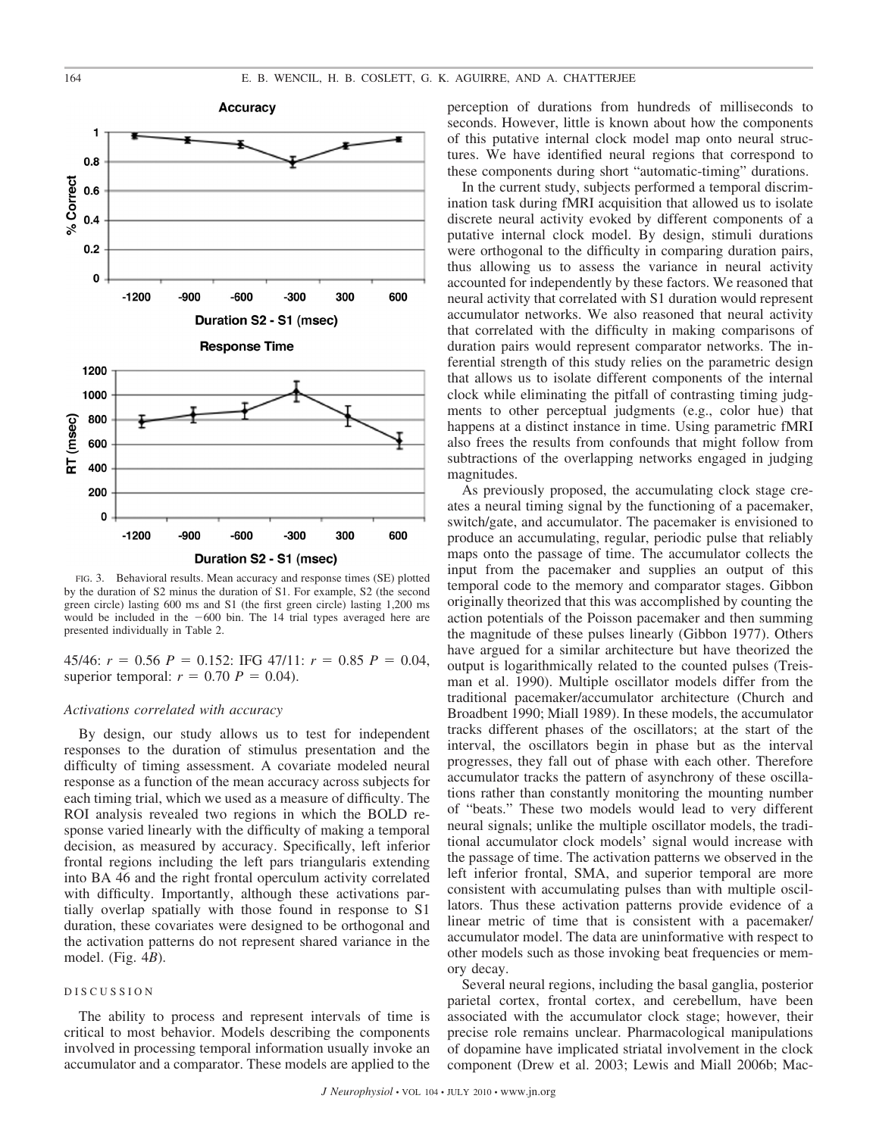

FIG. 3. Behavioral results. Mean accuracy and response times (SE) plotted by the duration of S2 minus the duration of S1. For example, S2 (the second green circle) lasting 600 ms and S1 (the first green circle) lasting 1,200 ms would be included in the  $-600$  bin. The 14 trial types averaged here are presented individually in Table 2.

 $45/46$ :  $r = 0.56$   $P = 0.152$ : IFG  $47/11$ :  $r = 0.85$   $P = 0.04$ , superior temporal:  $r = 0.70$   $P = 0.04$ ).

## *Activations correlated with accuracy*

By design, our study allows us to test for independent responses to the duration of stimulus presentation and the difficulty of timing assessment. A covariate modeled neural response as a function of the mean accuracy across subjects for each timing trial, which we used as a measure of difficulty. The ROI analysis revealed two regions in which the BOLD response varied linearly with the difficulty of making a temporal decision, as measured by accuracy. Specifically, left inferior frontal regions including the left pars triangularis extending into BA 46 and the right frontal operculum activity correlated with difficulty. Importantly, although these activations partially overlap spatially with those found in response to S1 duration, these covariates were designed to be orthogonal and the activation patterns do not represent shared variance in the model. (Fig. 4*B*).

#### DISCUSSION

The ability to process and represent intervals of time is critical to most behavior. Models describing the components involved in processing temporal information usually invoke an accumulator and a comparator. These models are applied to the perception of durations from hundreds of milliseconds to seconds. However, little is known about how the components of this putative internal clock model map onto neural structures. We have identified neural regions that correspond to these components during short "automatic-timing" durations.

In the current study, subjects performed a temporal discrimination task during fMRI acquisition that allowed us to isolate discrete neural activity evoked by different components of a putative internal clock model. By design, stimuli durations were orthogonal to the difficulty in comparing duration pairs, thus allowing us to assess the variance in neural activity accounted for independently by these factors. We reasoned that neural activity that correlated with S1 duration would represent accumulator networks. We also reasoned that neural activity that correlated with the difficulty in making comparisons of duration pairs would represent comparator networks. The inferential strength of this study relies on the parametric design that allows us to isolate different components of the internal clock while eliminating the pitfall of contrasting timing judgments to other perceptual judgments (e.g., color hue) that happens at a distinct instance in time. Using parametric fMRI also frees the results from confounds that might follow from subtractions of the overlapping networks engaged in judging magnitudes.

As previously proposed, the accumulating clock stage creates a neural timing signal by the functioning of a pacemaker, switch/gate, and accumulator. The pacemaker is envisioned to produce an accumulating, regular, periodic pulse that reliably maps onto the passage of time. The accumulator collects the input from the pacemaker and supplies an output of this temporal code to the memory and comparator stages. Gibbon originally theorized that this was accomplished by counting the action potentials of the Poisson pacemaker and then summing the magnitude of these pulses linearly (Gibbon 1977). Others have argued for a similar architecture but have theorized the output is logarithmically related to the counted pulses (Treisman et al. 1990). Multiple oscillator models differ from the traditional pacemaker/accumulator architecture (Church and Broadbent 1990; Miall 1989). In these models, the accumulator tracks different phases of the oscillators; at the start of the interval, the oscillators begin in phase but as the interval progresses, they fall out of phase with each other. Therefore accumulator tracks the pattern of asynchrony of these oscillations rather than constantly monitoring the mounting number of "beats." These two models would lead to very different neural signals; unlike the multiple oscillator models, the traditional accumulator clock models' signal would increase with the passage of time. The activation patterns we observed in the left inferior frontal, SMA, and superior temporal are more consistent with accumulating pulses than with multiple oscillators. Thus these activation patterns provide evidence of a linear metric of time that is consistent with a pacemaker/ accumulator model. The data are uninformative with respect to other models such as those invoking beat frequencies or memory decay.

Several neural regions, including the basal ganglia, posterior parietal cortex, frontal cortex, and cerebellum, have been associated with the accumulator clock stage; however, their precise role remains unclear. Pharmacological manipulations of dopamine have implicated striatal involvement in the clock component (Drew et al. 2003; Lewis and Miall 2006b; Mac-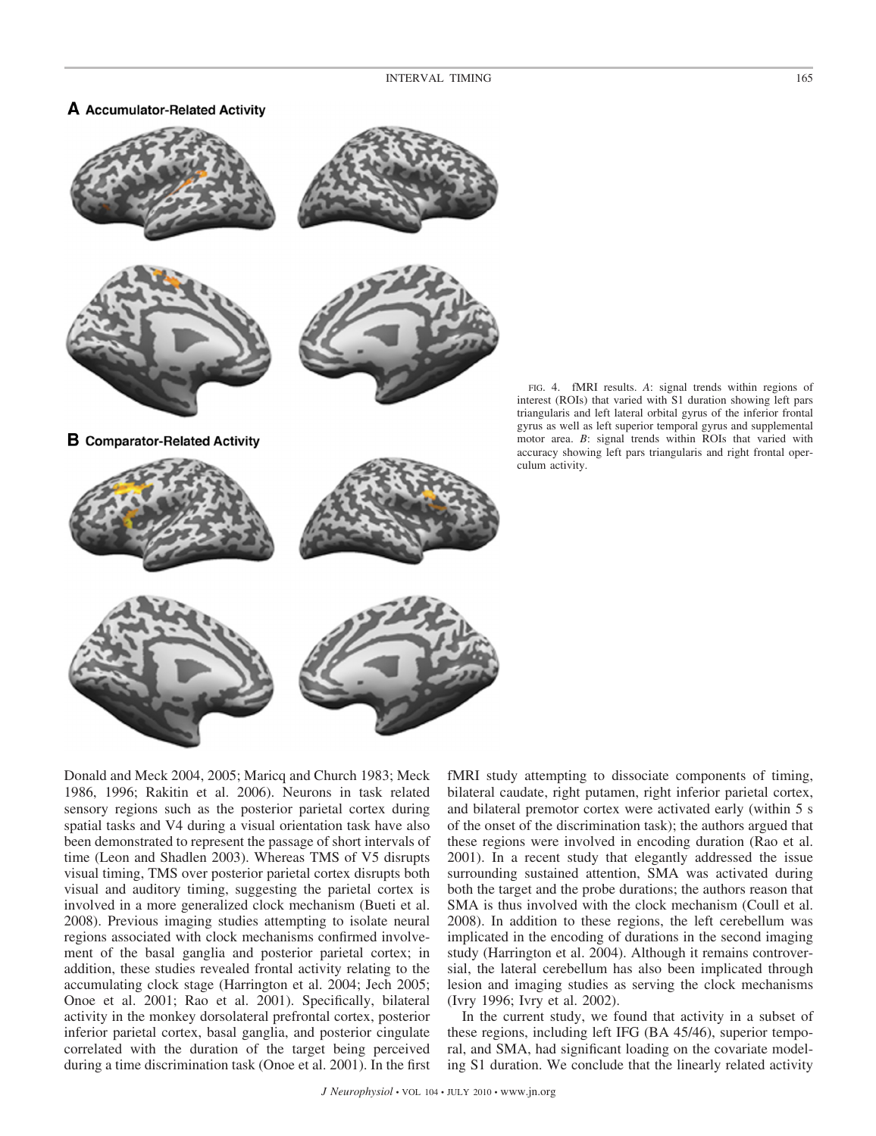# A Accumulator-Related Activity







**B** Comparator-Related Activity



FIG. 4. fMRI results. *A*: signal trends within regions of interest (ROIs) that varied with S1 duration showing left pars triangularis and left lateral orbital gyrus of the inferior frontal gyrus as well as left superior temporal gyrus and supplemental motor area. *B*: signal trends within ROIs that varied with accuracy showing left pars triangularis and right frontal operculum activity.

Donald and Meck 2004, 2005; Maricq and Church 1983; Meck 1986, 1996; Rakitin et al. 2006). Neurons in task related sensory regions such as the posterior parietal cortex during spatial tasks and V4 during a visual orientation task have also been demonstrated to represent the passage of short intervals of time (Leon and Shadlen 2003). Whereas TMS of V5 disrupts visual timing, TMS over posterior parietal cortex disrupts both visual and auditory timing, suggesting the parietal cortex is involved in a more generalized clock mechanism (Bueti et al. 2008). Previous imaging studies attempting to isolate neural regions associated with clock mechanisms confirmed involvement of the basal ganglia and posterior parietal cortex; in addition, these studies revealed frontal activity relating to the accumulating clock stage (Harrington et al. 2004; Jech 2005; Onoe et al. 2001; Rao et al. 2001). Specifically, bilateral activity in the monkey dorsolateral prefrontal cortex, posterior inferior parietal cortex, basal ganglia, and posterior cingulate correlated with the duration of the target being perceived during a time discrimination task (Onoe et al. 2001). In the first fMRI study attempting to dissociate components of timing, bilateral caudate, right putamen, right inferior parietal cortex, and bilateral premotor cortex were activated early (within 5 s of the onset of the discrimination task); the authors argued that these regions were involved in encoding duration (Rao et al. 2001). In a recent study that elegantly addressed the issue surrounding sustained attention, SMA was activated during both the target and the probe durations; the authors reason that SMA is thus involved with the clock mechanism (Coull et al. 2008). In addition to these regions, the left cerebellum was implicated in the encoding of durations in the second imaging study (Harrington et al. 2004). Although it remains controversial, the lateral cerebellum has also been implicated through lesion and imaging studies as serving the clock mechanisms (Ivry 1996; Ivry et al. 2002).

In the current study, we found that activity in a subset of these regions, including left IFG (BA 45/46), superior temporal, and SMA, had significant loading on the covariate modeling S1 duration. We conclude that the linearly related activity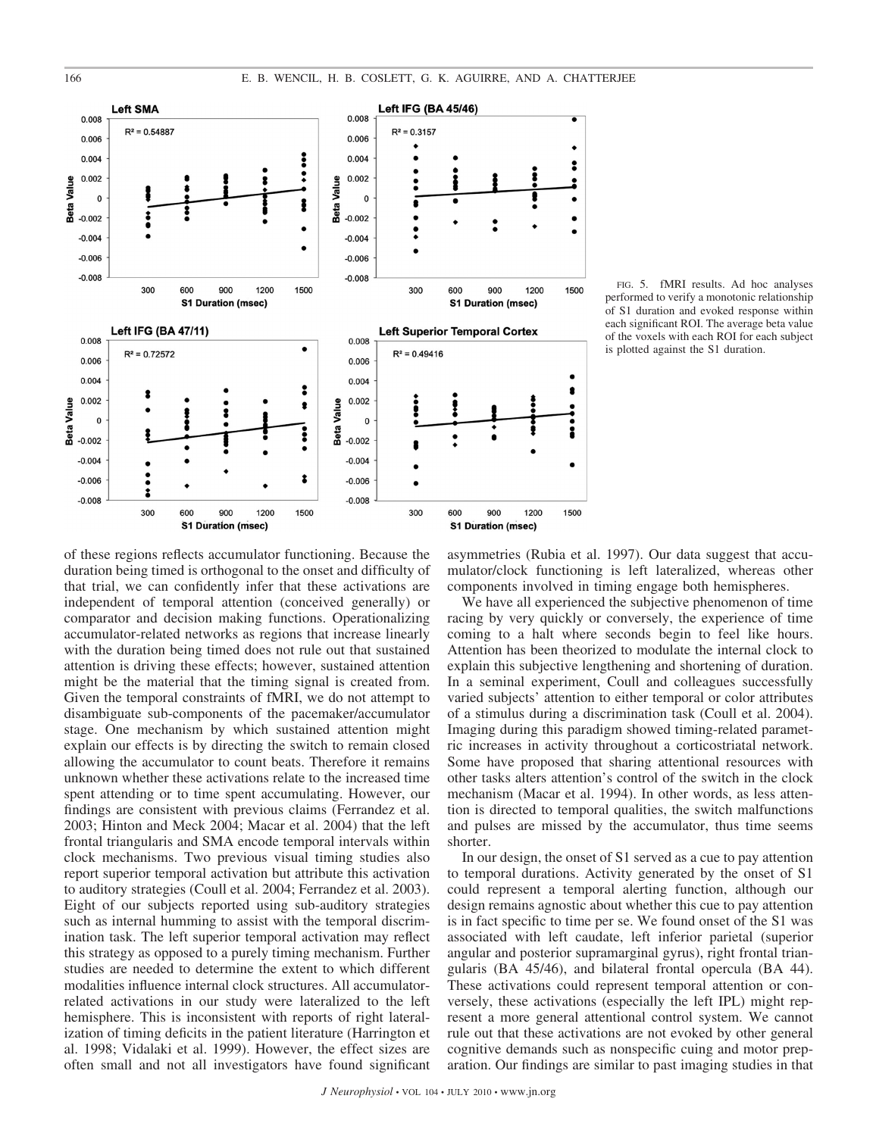

FIG. 5. fMRI results. Ad hoc analyses performed to verify a monotonic relationship of S1 duration and evoked response within each significant ROI. The average beta value of the voxels with each ROI for each subject is plotted against the S1 duration.

of these regions reflects accumulator functioning. Because the duration being timed is orthogonal to the onset and difficulty of that trial, we can confidently infer that these activations are independent of temporal attention (conceived generally) or comparator and decision making functions. Operationalizing accumulator-related networks as regions that increase linearly with the duration being timed does not rule out that sustained attention is driving these effects; however, sustained attention might be the material that the timing signal is created from. Given the temporal constraints of fMRI, we do not attempt to disambiguate sub-components of the pacemaker/accumulator stage. One mechanism by which sustained attention might explain our effects is by directing the switch to remain closed allowing the accumulator to count beats. Therefore it remains unknown whether these activations relate to the increased time spent attending or to time spent accumulating. However, our findings are consistent with previous claims (Ferrandez et al. 2003; Hinton and Meck 2004; Macar et al. 2004) that the left frontal triangularis and SMA encode temporal intervals within clock mechanisms. Two previous visual timing studies also report superior temporal activation but attribute this activation to auditory strategies (Coull et al. 2004; Ferrandez et al. 2003). Eight of our subjects reported using sub-auditory strategies such as internal humming to assist with the temporal discrimination task. The left superior temporal activation may reflect this strategy as opposed to a purely timing mechanism. Further studies are needed to determine the extent to which different modalities influence internal clock structures. All accumulatorrelated activations in our study were lateralized to the left hemisphere. This is inconsistent with reports of right lateralization of timing deficits in the patient literature (Harrington et al. 1998; Vidalaki et al. 1999). However, the effect sizes are often small and not all investigators have found significant asymmetries (Rubia et al. 1997). Our data suggest that accumulator/clock functioning is left lateralized, whereas other components involved in timing engage both hemispheres.

We have all experienced the subjective phenomenon of time racing by very quickly or conversely, the experience of time coming to a halt where seconds begin to feel like hours. Attention has been theorized to modulate the internal clock to explain this subjective lengthening and shortening of duration. In a seminal experiment, Coull and colleagues successfully varied subjects' attention to either temporal or color attributes of a stimulus during a discrimination task (Coull et al. 2004). Imaging during this paradigm showed timing-related parametric increases in activity throughout a corticostriatal network. Some have proposed that sharing attentional resources with other tasks alters attention's control of the switch in the clock mechanism (Macar et al. 1994). In other words, as less attention is directed to temporal qualities, the switch malfunctions and pulses are missed by the accumulator, thus time seems shorter.

In our design, the onset of S1 served as a cue to pay attention to temporal durations. Activity generated by the onset of S1 could represent a temporal alerting function, although our design remains agnostic about whether this cue to pay attention is in fact specific to time per se. We found onset of the S1 was associated with left caudate, left inferior parietal (superior angular and posterior supramarginal gyrus), right frontal triangularis (BA 45/46), and bilateral frontal opercula (BA 44). These activations could represent temporal attention or conversely, these activations (especially the left IPL) might represent a more general attentional control system. We cannot rule out that these activations are not evoked by other general cognitive demands such as nonspecific cuing and motor preparation. Our findings are similar to past imaging studies in that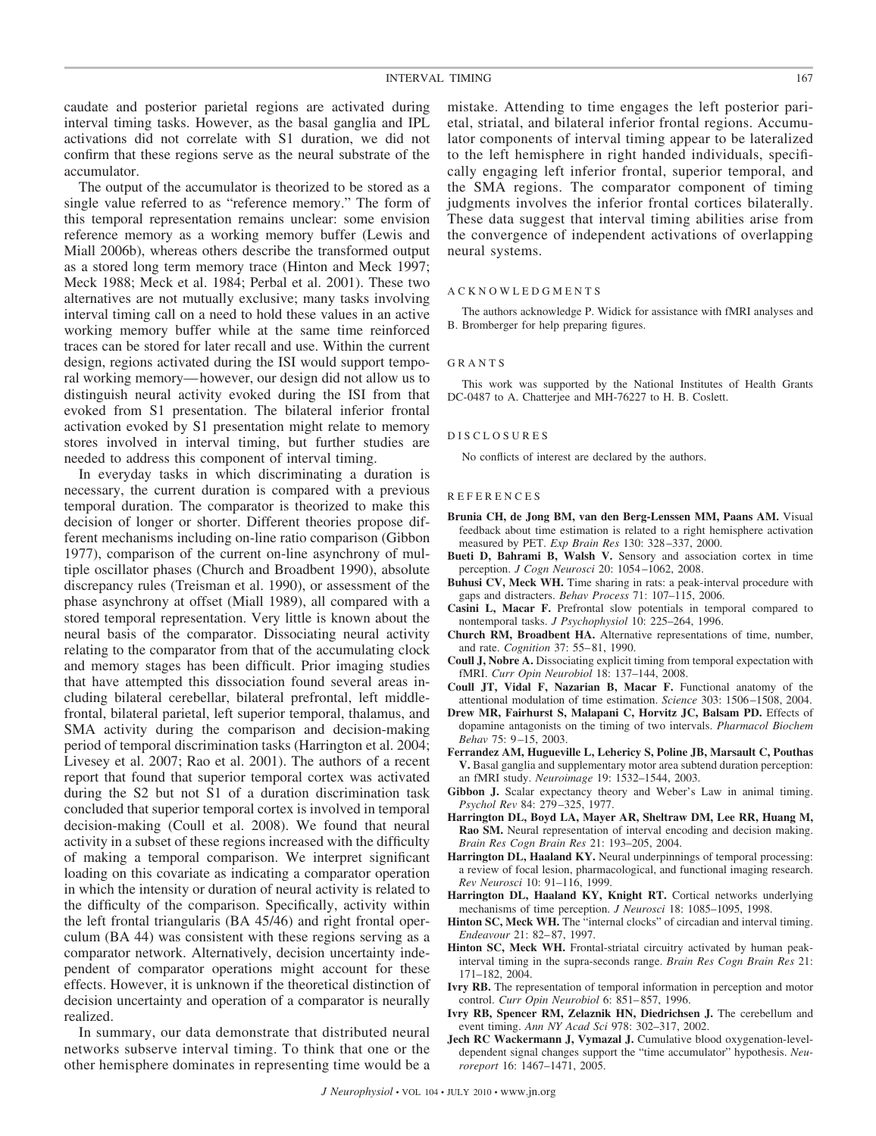caudate and posterior parietal regions are activated during interval timing tasks. However, as the basal ganglia and IPL activations did not correlate with S1 duration, we did not confirm that these regions serve as the neural substrate of the accumulator.

The output of the accumulator is theorized to be stored as a single value referred to as "reference memory." The form of this temporal representation remains unclear: some envision reference memory as a working memory buffer (Lewis and Miall 2006b), whereas others describe the transformed output as a stored long term memory trace (Hinton and Meck 1997; Meck 1988; Meck et al. 1984; Perbal et al. 2001). These two alternatives are not mutually exclusive; many tasks involving interval timing call on a need to hold these values in an active working memory buffer while at the same time reinforced traces can be stored for later recall and use. Within the current design, regions activated during the ISI would support temporal working memory— however, our design did not allow us to distinguish neural activity evoked during the ISI from that evoked from S1 presentation. The bilateral inferior frontal activation evoked by S1 presentation might relate to memory stores involved in interval timing, but further studies are needed to address this component of interval timing.

In everyday tasks in which discriminating a duration is necessary, the current duration is compared with a previous temporal duration. The comparator is theorized to make this decision of longer or shorter. Different theories propose different mechanisms including on-line ratio comparison (Gibbon 1977), comparison of the current on-line asynchrony of multiple oscillator phases (Church and Broadbent 1990), absolute discrepancy rules (Treisman et al. 1990), or assessment of the phase asynchrony at offset (Miall 1989), all compared with a stored temporal representation. Very little is known about the neural basis of the comparator. Dissociating neural activity relating to the comparator from that of the accumulating clock and memory stages has been difficult. Prior imaging studies that have attempted this dissociation found several areas including bilateral cerebellar, bilateral prefrontal, left middlefrontal, bilateral parietal, left superior temporal, thalamus, and SMA activity during the comparison and decision-making period of temporal discrimination tasks (Harrington et al. 2004; Livesey et al. 2007; Rao et al. 2001). The authors of a recent report that found that superior temporal cortex was activated during the S2 but not S1 of a duration discrimination task concluded that superior temporal cortex is involved in temporal decision-making (Coull et al. 2008). We found that neural activity in a subset of these regions increased with the difficulty of making a temporal comparison. We interpret significant loading on this covariate as indicating a comparator operation in which the intensity or duration of neural activity is related to the difficulty of the comparison. Specifically, activity within the left frontal triangularis (BA 45/46) and right frontal operculum (BA 44) was consistent with these regions serving as a comparator network. Alternatively, decision uncertainty independent of comparator operations might account for these effects. However, it is unknown if the theoretical distinction of decision uncertainty and operation of a comparator is neurally realized.

In summary, our data demonstrate that distributed neural networks subserve interval timing. To think that one or the other hemisphere dominates in representing time would be a mistake. Attending to time engages the left posterior parietal, striatal, and bilateral inferior frontal regions. Accumulator components of interval timing appear to be lateralized to the left hemisphere in right handed individuals, specifically engaging left inferior frontal, superior temporal, and the SMA regions. The comparator component of timing judgments involves the inferior frontal cortices bilaterally. These data suggest that interval timing abilities arise from the convergence of independent activations of overlapping neural systems.

#### ACKNOWLEDGMENTS

The authors acknowledge P. Widick for assistance with fMRI analyses and B. Bromberger for help preparing figures.

#### GRANTS

This work was supported by the National Institutes of Health Grants DC-0487 to A. Chatterjee and MH-76227 to H. B. Coslett.

#### DISCLOSURES

No conflicts of interest are declared by the authors.

## **REFERENCES**

- **Brunia CH, de Jong BM, van den Berg-Lenssen MM, Paans AM.** Visual feedback about time estimation is related to a right hemisphere activation measured by PET. *Exp Brain Res* 130: 328 –337, 2000.
- **Bueti D, Bahrami B, Walsh V.** Sensory and association cortex in time perception. *J Cogn Neurosci* 20: 1054 –1062, 2008.
- **Buhusi CV, Meck WH.** Time sharing in rats: a peak-interval procedure with gaps and distracters. *Behav Process* 71: 107–115, 2006.
- **Casini L, Macar F.** Prefrontal slow potentials in temporal compared to nontemporal tasks. *J Psychophysiol* 10: 225–264, 1996.
- **Church RM, Broadbent HA.** Alternative representations of time, number, and rate. *Cognition* 37: 55– 81, 1990.
- **Coull J, Nobre A.** Dissociating explicit timing from temporal expectation with fMRI. *Curr Opin Neurobiol* 18: 137–144, 2008.
- **Coull JT, Vidal F, Nazarian B, Macar F.** Functional anatomy of the attentional modulation of time estimation. *Science* 303: 1506 –1508, 2004.
- **Drew MR, Fairhurst S, Malapani C, Horvitz JC, Balsam PD.** Effects of dopamine antagonists on the timing of two intervals. *Pharmacol Biochem Behav* 75: 9–15, 2003.
- **Ferrandez AM, Hugueville L, Lehericy S, Poline JB, Marsault C, Pouthas V.** Basal ganglia and supplementary motor area subtend duration perception: an fMRI study. *Neuroimage* 19: 1532–1544, 2003.
- **Gibbon J.** Scalar expectancy theory and Weber's Law in animal timing. *Psychol Rev* 84: 279 –325, 1977.
- **Harrington DL, Boyd LA, Mayer AR, Sheltraw DM, Lee RR, Huang M, Rao SM.** Neural representation of interval encoding and decision making. *Brain Res Cogn Brain Res* 21: 193–205, 2004.
- Harrington DL, Haaland KY. Neural underpinnings of temporal processing: a review of focal lesion, pharmacological, and functional imaging research. *Rev Neurosci* 10: 91–116, 1999.
- **Harrington DL, Haaland KY, Knight RT.** Cortical networks underlying mechanisms of time perception. *J Neurosci* 18: 1085–1095, 1998.
- **Hinton SC, Meck WH.** The "internal clocks" of circadian and interval timing. *Endeavour* 21: 82– 87, 1997.
- **Hinton SC, Meck WH.** Frontal-striatal circuitry activated by human peakinterval timing in the supra-seconds range. *Brain Res Cogn Brain Res* 21: 171–182, 2004.
- **Ivry RB.** The representation of temporal information in perception and motor control. *Curr Opin Neurobiol* 6: 851– 857, 1996.
- **Ivry RB, Spencer RM, Zelaznik HN, Diedrichsen J.** The cerebellum and event timing. *Ann NY Acad Sci* 978: 302–317, 2002.
- **Jech RC Wackermann J, Vymazal J.** Cumulative blood oxygenation-leveldependent signal changes support the "time accumulator" hypothesis. *Neuroreport* 16: 1467–1471, 2005.